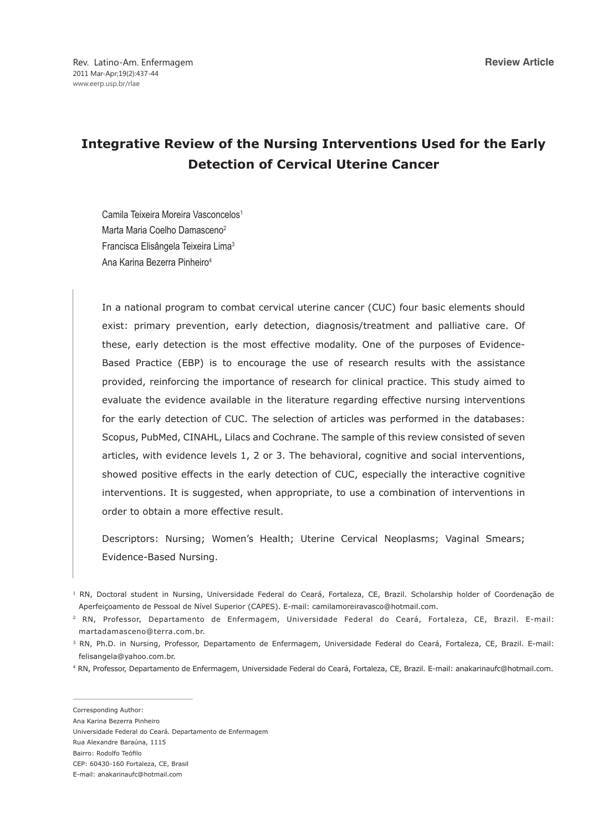**Review Article**

# **Integrative Review of the Nursing Interventions Used for the Early Detection of Cervical Uterine Cancer**

Camila Teixeira Moreira Vasconcelos1 Marta Maria Coelho Damasceno2 Francisca Elisângela Teixeira Lima3 Ana Karina Bezerra Pinheiro4

In a national program to combat cervical uterine cancer (CUC) four basic elements should exist: primary prevention, early detection, diagnosis/treatment and palliative care. Of these, early detection is the most effective modality. One of the purposes of Evidence-Based Practice (EBP) is to encourage the use of research results with the assistance provided, reinforcing the importance of research for clinical practice. This study aimed to evaluate the evidence available in the literature regarding effective nursing interventions for the early detection of CUC. The selection of articles was performed in the databases: Scopus, PubMed, CINAHL, Lilacs and Cochrane. The sample of this review consisted of seven articles, with evidence levels 1, 2 or 3. The behavioral, cognitive and social interventions, showed positive effects in the early detection of CUC, especially the interactive cognitive interventions. It is suggested, when appropriate, to use a combination of interventions in order to obtain a more effective result.

Descriptors: Nursing; Women's Health; Uterine Cervical Neoplasms; Vaginal Smears; Evidence-Based Nursing.

4 RN, Professor, Departamento de Enfermagem, Universidade Federal do Ceará, Fortaleza, CE, Brazil. E-mail: anakarinaufc@hotmail.com.

Universidade Federal do Ceará. Departamento de Enfermagem

Bairro: Rodolfo Teófilo

<sup>1</sup> RN, Doctoral student in Nursing, Universidade Federal do Ceará, Fortaleza, CE, Brazil. Scholarship holder of Coordenação de Aperfeiçoamento de Pessoal de Nível Superior (CAPES). E-mail: camilamoreiravasco@hotmail.com.

<sup>2</sup> RN, Professor, Departamento de Enfermagem, Universidade Federal do Ceará, Fortaleza, CE, Brazil. E-mail: martadamasceno@terra.com.br.

<sup>3</sup> RN, Ph.D. in Nursing, Professor, Departamento de Enfermagem, Universidade Federal do Ceará, Fortaleza, CE, Brazil. E-mail: felisangela@yahoo.com.br.

Corresponding Author:

Ana Karina Bezerra Pinheiro

Rua Alexandre Baraúna, 1115

CEP: 60430-160 Fortaleza, CE, Brasil

E-mail: anakarinaufc@hotmail.com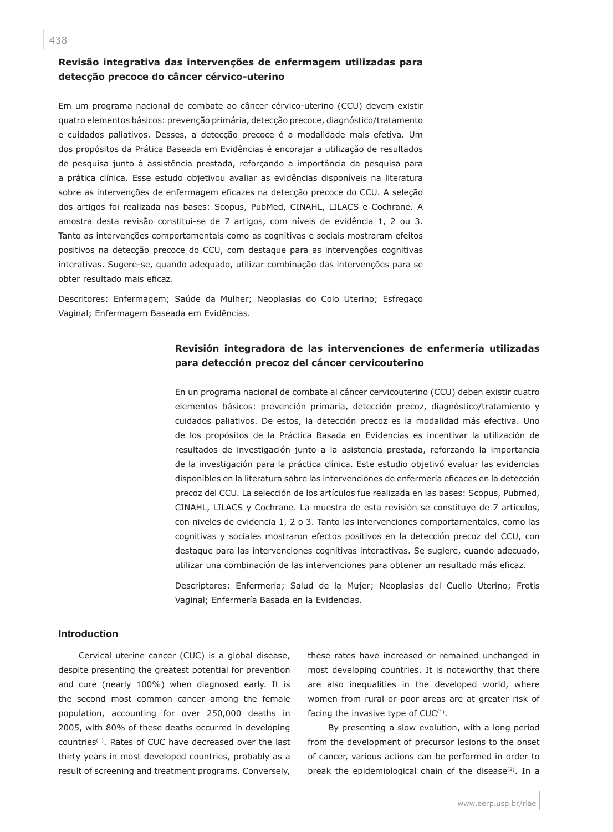# **Revisão integrativa das intervenções de enfermagem utilizadas para detecção precoce do câncer cérvico-uterino**

Em um programa nacional de combate ao câncer cérvico-uterino (CCU) devem existir quatro elementos básicos: prevenção primária, detecção precoce, diagnóstico/tratamento e cuidados paliativos. Desses, a detecção precoce é a modalidade mais efetiva. Um dos propósitos da Prática Baseada em Evidências é encorajar a utilização de resultados de pesquisa junto à assistência prestada, reforçando a importância da pesquisa para a prática clínica. Esse estudo objetivou avaliar as evidências disponíveis na literatura sobre as intervenções de enfermagem eficazes na detecção precoce do CCU. A seleção dos artigos foi realizada nas bases: Scopus, PubMed, CINAHL, LILACS e Cochrane. A amostra desta revisão constitui-se de 7 artigos, com níveis de evidência 1, 2 ou 3. Tanto as intervenções comportamentais como as cognitivas e sociais mostraram efeitos positivos na detecção precoce do CCU, com destaque para as intervenções cognitivas interativas. Sugere-se, quando adequado, utilizar combinação das intervenções para se obter resultado mais eficaz.

Descritores: Enfermagem; Saúde da Mulher; Neoplasias do Colo Uterino; Esfregaço Vaginal; Enfermagem Baseada em Evidências.

# **Revisión integradora de las intervenciones de enfermería utilizadas para detección precoz del cáncer cervicouterino**

En un programa nacional de combate al cáncer cervicouterino (CCU) deben existir cuatro elementos básicos: prevención primaria, detección precoz, diagnóstico/tratamiento y cuidados paliativos. De estos, la detección precoz es la modalidad más efectiva. Uno de los propósitos de la Práctica Basada en Evidencias es incentivar la utilización de resultados de investigación junto a la asistencia prestada, reforzando la importancia de la investigación para la práctica clínica. Este estudio objetivó evaluar las evidencias disponibles en la literatura sobre las intervenciones de enfermería eficaces en la detección precoz del CCU. La selección de los artículos fue realizada en las bases: Scopus, Pubmed, CINAHL, LILACS y Cochrane. La muestra de esta revisión se constituye de 7 artículos, con niveles de evidencia 1, 2 o 3. Tanto las intervenciones comportamentales, como las cognitivas y sociales mostraron efectos positivos en la detección precoz del CCU, con destaque para las intervenciones cognitivas interactivas. Se sugiere, cuando adecuado, utilizar una combinación de las intervenciones para obtener un resultado más eficaz.

Descriptores: Enfermería; Salud de la Mujer; Neoplasias del Cuello Uterino; Frotis Vaginal; Enfermería Basada en la Evidencias.

# **Introduction**

Cervical uterine cancer (CUC) is a global disease, despite presenting the greatest potential for prevention and cure (nearly 100%) when diagnosed early. It is the second most common cancer among the female population, accounting for over 250,000 deaths in 2005, with 80% of these deaths occurred in developing countries(1). Rates of CUC have decreased over the last thirty years in most developed countries, probably as a result of screening and treatment programs. Conversely,

these rates have increased or remained unchanged in most developing countries. It is noteworthy that there are also inequalities in the developed world, where women from rural or poor areas are at greater risk of facing the invasive type of  $CUC^{(1)}$ .

By presenting a slow evolution, with a long period from the development of precursor lesions to the onset of cancer, various actions can be performed in order to break the epidemiological chain of the disease<sup>(2)</sup>. In a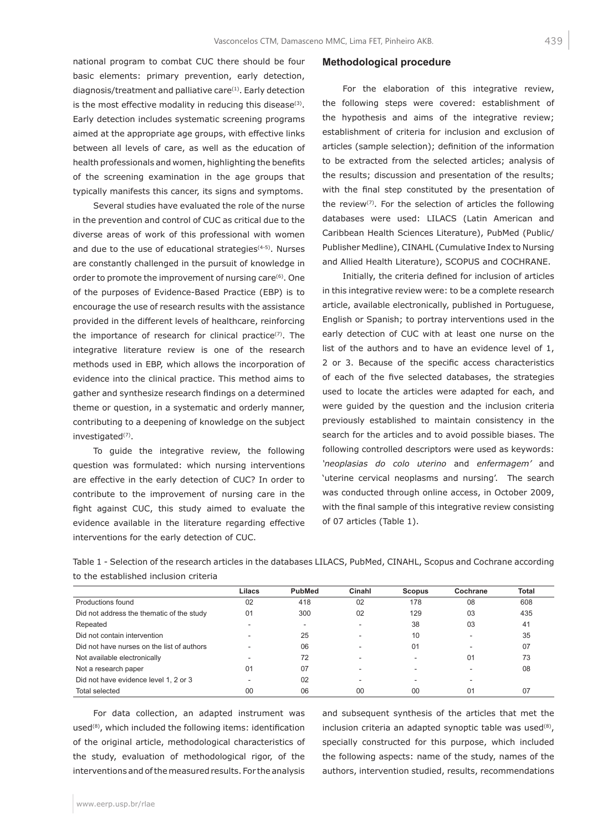national program to combat CUC there should be four basic elements: primary prevention, early detection, diagnosis/treatment and palliative care<sup>(1)</sup>. Early detection is the most effective modality in reducing this disease $(3)$ . Early detection includes systematic screening programs aimed at the appropriate age groups, with effective links between all levels of care, as well as the education of health professionals and women, highlighting the benefits of the screening examination in the age groups that typically manifests this cancer, its signs and symptoms.

Several studies have evaluated the role of the nurse in the prevention and control of CUC as critical due to the diverse areas of work of this professional with women and due to the use of educational strategies<sup>(4-5)</sup>. Nurses are constantly challenged in the pursuit of knowledge in order to promote the improvement of nursing care(6). One of the purposes of Evidence-Based Practice (EBP) is to encourage the use of research results with the assistance provided in the different levels of healthcare, reinforcing the importance of research for clinical practice $(7)$ . The integrative literature review is one of the research methods used in EBP, which allows the incorporation of evidence into the clinical practice. This method aims to gather and synthesize research findings on a determined theme or question, in a systematic and orderly manner, contributing to a deepening of knowledge on the subject investigated<sup>(7)</sup>.

To guide the integrative review, the following question was formulated: which nursing interventions are effective in the early detection of CUC? In order to contribute to the improvement of nursing care in the fight against CUC, this study aimed to evaluate the evidence available in the literature regarding effective interventions for the early detection of CUC.

#### **Methodological procedure**

For the elaboration of this integrative review, the following steps were covered: establishment of the hypothesis and aims of the integrative review; establishment of criteria for inclusion and exclusion of articles (sample selection); definition of the information to be extracted from the selected articles; analysis of the results; discussion and presentation of the results; with the final step constituted by the presentation of the review $(7)$ . For the selection of articles the following databases were used: LILACS (Latin American and Caribbean Health Sciences Literature), PubMed (Public/ Publisher Medline), CINAHL (Cumulative Index to Nursing and Allied Health Literature), SCOPUS and COCHRANE.

Initially, the criteria defined for inclusion of articles in this integrative review were: to be a complete research article, available electronically, published in Portuguese, English or Spanish; to portray interventions used in the early detection of CUC with at least one nurse on the list of the authors and to have an evidence level of 1, 2 or 3. Because of the specific access characteristics of each of the five selected databases, the strategies used to locate the articles were adapted for each, and were guided by the question and the inclusion criteria previously established to maintain consistency in the search for the articles and to avoid possible biases. The following controlled descriptors were used as keywords: *'neoplasias do colo uterino* and *enfermagem'* and 'uterine cervical neoplasms and nursing'. The search was conducted through online access, in October 2009, with the final sample of this integrative review consisting of 07 articles (Table 1).

Table 1 - Selection of the research articles in the databases LILACS, PubMed, CINAHL, Scopus and Cochrane according to the established inclusion criteria

|                                            | Lilacs | <b>PubMed</b> | Cinahl | Scopus | Cochrane | Total |
|--------------------------------------------|--------|---------------|--------|--------|----------|-------|
| Productions found                          | 02     | 418           | 02     | 178    | 08       | 608   |
| Did not address the thematic of the study  | 01     | 300           | 02     | 129    | 03       | 435   |
| Repeated                                   | ۰      |               |        | 38     | 03       | 41    |
| Did not contain intervention               |        | 25            |        | 10     |          | 35    |
| Did not have nurses on the list of authors |        | 06            |        | 01     |          | 07    |
| Not available electronically               |        | 72            |        |        | 01       | 73    |
| Not a research paper                       | 01     | 07            | ۰.     |        |          | 08    |
| Did not have evidence level 1, 2 or 3      |        | 02            |        |        |          |       |
| <b>Total selected</b>                      | 00     | 06            | 00     | 00     | 01       | 07    |

For data collection, an adapted instrument was used<sup>(8)</sup>, which included the following items: identification of the original article, methodological characteristics of the study, evaluation of methodological rigor, of the interventions and of the measured results. For the analysis and subsequent synthesis of the articles that met the inclusion criteria an adapted synoptic table was used<sup>(8)</sup>, specially constructed for this purpose, which included the following aspects: name of the study, names of the authors, intervention studied, results, recommendations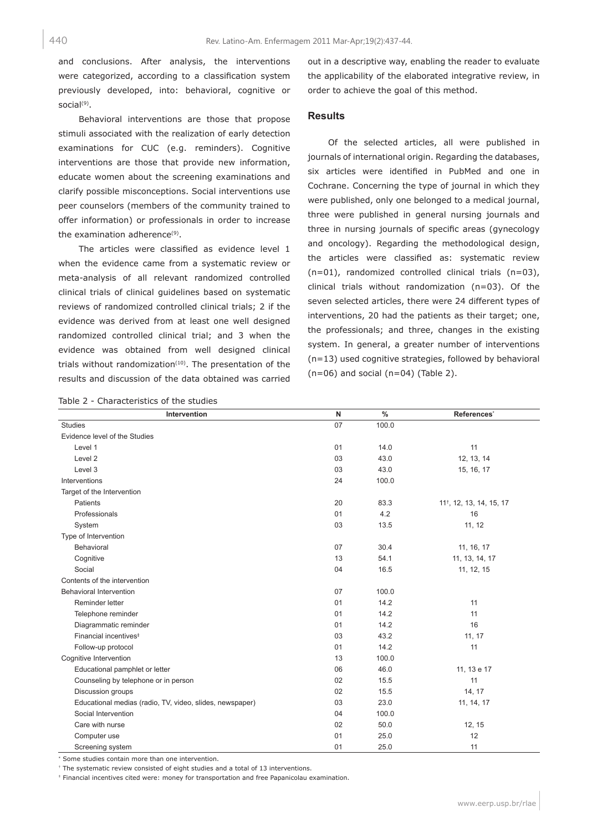and conclusions. After analysis, the interventions were categorized, according to a classification system previously developed, into: behavioral, cognitive or social<sup>(9)</sup>.

Behavioral interventions are those that propose stimuli associated with the realization of early detection examinations for CUC (e.g. reminders). Cognitive interventions are those that provide new information, educate women about the screening examinations and clarify possible misconceptions. Social interventions use peer counselors (members of the community trained to offer information) or professionals in order to increase the examination adherence<sup>(9)</sup>.

The articles were classified as evidence level 1 when the evidence came from a systematic review or meta-analysis of all relevant randomized controlled clinical trials of clinical guidelines based on systematic reviews of randomized controlled clinical trials; 2 if the evidence was derived from at least one well designed randomized controlled clinical trial; and 3 when the evidence was obtained from well designed clinical trials without randomization $(10)$ . The presentation of the results and discussion of the data obtained was carried

out in a descriptive way, enabling the reader to evaluate the applicability of the elaborated integrative review, in order to achieve the goal of this method.

#### **Results**

Of the selected articles, all were published in journals of international origin. Regarding the databases, six articles were identified in PubMed and one in Cochrane. Concerning the type of journal in which they were published, only one belonged to a medical journal, three were published in general nursing journals and three in nursing journals of specific areas (gynecology and oncology). Regarding the methodological design, the articles were classified as: systematic review  $(n=01)$ , randomized controlled clinical trials  $(n=03)$ , clinical trials without randomization (n=03). Of the seven selected articles, there were 24 different types of interventions, 20 had the patients as their target; one, the professionals; and three, changes in the existing system. In general, a greater number of interventions (n=13) used cognitive strategies, followed by behavioral  $(n=06)$  and social  $(n=04)$  (Table 2).

| Table 2 - Characteristics of the studies |  |
|------------------------------------------|--|
|------------------------------------------|--|

| Intervention                                             | N  | $\%$  | References'                          |
|----------------------------------------------------------|----|-------|--------------------------------------|
| <b>Studies</b>                                           | 07 | 100.0 |                                      |
| Evidence level of the Studies                            |    |       |                                      |
| Level 1                                                  | 01 | 14.0  | 11                                   |
| Level <sub>2</sub>                                       | 03 | 43.0  | 12, 13, 14                           |
| Level 3                                                  | 03 | 43.0  | 15, 16, 17                           |
| Interventions                                            | 24 | 100.0 |                                      |
| Target of the Intervention                               |    |       |                                      |
| Patients                                                 | 20 | 83.3  | 11 <sup>†</sup> , 12, 13, 14, 15, 17 |
| Professionals                                            | 01 | 4.2   | 16                                   |
| System                                                   | 03 | 13.5  | 11, 12                               |
| Type of Intervention                                     |    |       |                                      |
| Behavioral                                               | 07 | 30.4  | 11, 16, 17                           |
| Cognitive                                                | 13 | 54.1  | 11, 13, 14, 17                       |
| Social                                                   | 04 | 16.5  | 11, 12, 15                           |
| Contents of the intervention                             |    |       |                                      |
| <b>Behavioral Intervention</b>                           | 07 | 100.0 |                                      |
| Reminder letter                                          | 01 | 14.2  | 11                                   |
| Telephone reminder                                       | 01 | 14.2  | 11                                   |
| Diagrammatic reminder                                    | 01 | 14.2  | 16                                   |
| Financial incentives <sup>#</sup>                        | 03 | 43.2  | 11, 17                               |
| Follow-up protocol                                       | 01 | 14.2  | 11                                   |
| Cognitive Intervention                                   | 13 | 100.0 |                                      |
| Educational pamphlet or letter                           | 06 | 46.0  | 11, 13 e 17                          |
| Counseling by telephone or in person                     | 02 | 15.5  | 11                                   |
| Discussion groups                                        | 02 | 15.5  | 14, 17                               |
| Educational medias (radio, TV, video, slides, newspaper) | 03 | 23.0  | 11, 14, 17                           |
| Social Intervention                                      | 04 | 100.0 |                                      |
| Care with nurse                                          | 02 | 50.0  | 12, 15                               |
| Computer use                                             | 01 | 25.0  | 12                                   |
| Screening system                                         | 01 | 25.0  | 11                                   |

\* Some studies contain more than one intervention.

† The systematic review consisted of eight studies and a total of 13 interventions.

‡ Financial incentives cited were: money for transportation and free Papanicolau examination.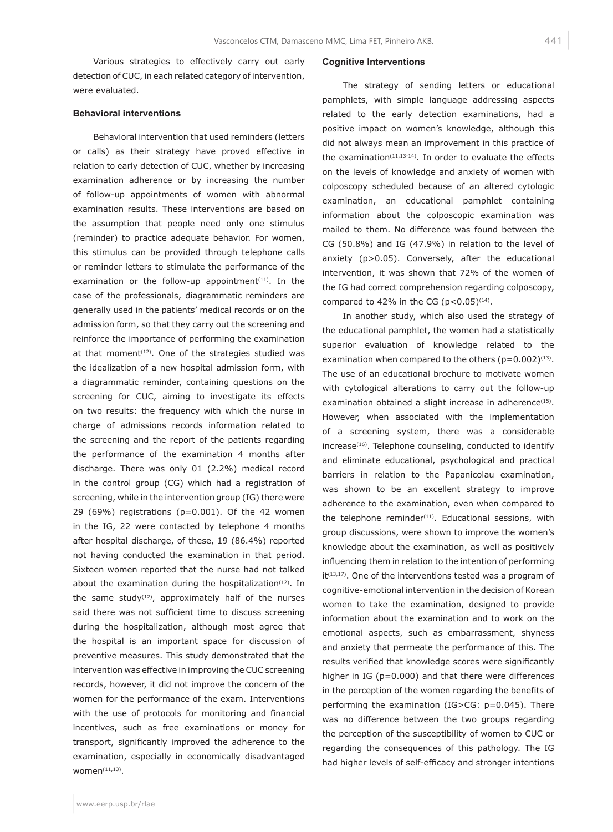Various strategies to effectively carry out early detection of CUC, in each related category of intervention, were evaluated.

## **Behavioral interventions**

Behavioral intervention that used reminders (letters or calls) as their strategy have proved effective in relation to early detection of CUC, whether by increasing examination adherence or by increasing the number of follow-up appointments of women with abnormal examination results. These interventions are based on the assumption that people need only one stimulus (reminder) to practice adequate behavior. For women, this stimulus can be provided through telephone calls or reminder letters to stimulate the performance of the examination or the follow-up appointment $(11)$ . In the case of the professionals, diagrammatic reminders are generally used in the patients' medical records or on the admission form, so that they carry out the screening and reinforce the importance of performing the examination at that moment $(12)$ . One of the strategies studied was the idealization of a new hospital admission form, with a diagrammatic reminder, containing questions on the screening for CUC, aiming to investigate its effects on two results: the frequency with which the nurse in charge of admissions records information related to the screening and the report of the patients regarding the performance of the examination 4 months after discharge. There was only 01 (2.2%) medical record in the control group (CG) which had a registration of screening, while in the intervention group (IG) there were 29 (69%) registrations (p=0.001). Of the 42 women in the IG, 22 were contacted by telephone 4 months after hospital discharge, of these, 19 (86.4%) reported not having conducted the examination in that period. Sixteen women reported that the nurse had not talked about the examination during the hospitalization $(12)$ . In the same study<sup> $(12)$ </sup>, approximately half of the nurses said there was not sufficient time to discuss screening during the hospitalization, although most agree that the hospital is an important space for discussion of preventive measures. This study demonstrated that the intervention was effective in improving the CUC screening records, however, it did not improve the concern of the women for the performance of the exam. Interventions with the use of protocols for monitoring and financial incentives, such as free examinations or money for transport, significantly improved the adherence to the examination, especially in economically disadvantaged women(11,13).

#### **Cognitive Interventions**

The strategy of sending letters or educational pamphlets, with simple language addressing aspects related to the early detection examinations, had a positive impact on women's knowledge, although this did not always mean an improvement in this practice of the examination $(11,13-14)$ . In order to evaluate the effects on the levels of knowledge and anxiety of women with colposcopy scheduled because of an altered cytologic examination, an educational pamphlet containing information about the colposcopic examination was mailed to them. No difference was found between the CG (50.8%) and IG (47.9%) in relation to the level of anxiety (p>0.05). Conversely, after the educational intervention, it was shown that 72% of the women of the IG had correct comprehension regarding colposcopy, compared to 42% in the CG ( $p < 0.05$ )<sup>(14)</sup>.

In another study, which also used the strategy of the educational pamphlet, the women had a statistically superior evaluation of knowledge related to the examination when compared to the others  $(p=0.002)^{(13)}$ . The use of an educational brochure to motivate women with cytological alterations to carry out the follow-up examination obtained a slight increase in adherence<sup>(15)</sup>. However, when associated with the implementation of a screening system, there was a considerable increase<sup>(16)</sup>. Telephone counseling, conducted to identify and eliminate educational, psychological and practical barriers in relation to the Papanicolau examination, was shown to be an excellent strategy to improve adherence to the examination, even when compared to the telephone reminder $(11)$ . Educational sessions, with group discussions, were shown to improve the women's knowledge about the examination, as well as positively influencing them in relation to the intention of performing  $it^{(13,17)}$ . One of the interventions tested was a program of cognitive-emotional intervention in the decision of Korean women to take the examination, designed to provide information about the examination and to work on the emotional aspects, such as embarrassment, shyness and anxiety that permeate the performance of this. The results verified that knowledge scores were significantly higher in IG (p=0.000) and that there were differences in the perception of the women regarding the benefits of performing the examination (IG>CG: p=0.045). There was no difference between the two groups regarding the perception of the susceptibility of women to CUC or regarding the consequences of this pathology. The IG had higher levels of self-efficacy and stronger intentions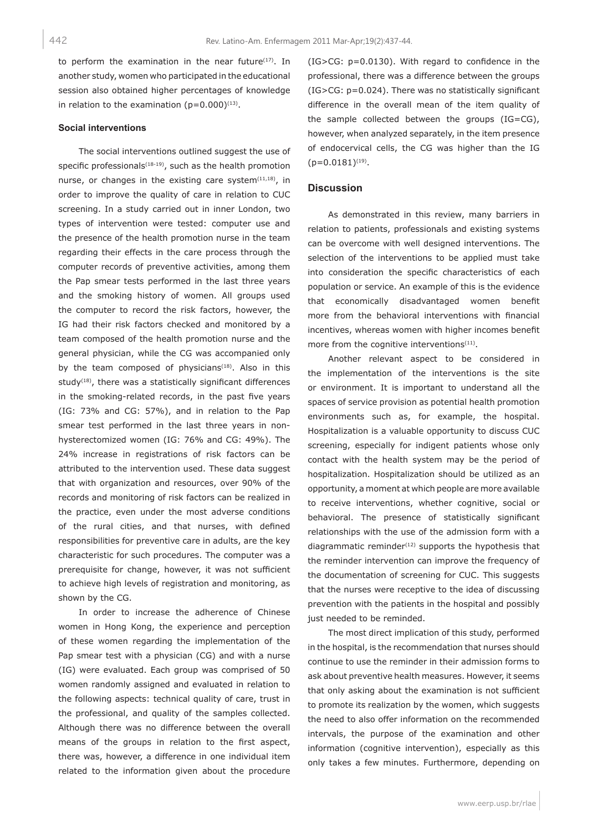to perform the examination in the near future $(17)$ . In another study, women who participated in the educational session also obtained higher percentages of knowledge in relation to the examination  $(p=0.000)^{(13)}$ .

#### **Social interventions**

The social interventions outlined suggest the use of specific professionals<sup>(18-19)</sup>, such as the health promotion nurse, or changes in the existing care system $(11,18)$ , in order to improve the quality of care in relation to CUC screening. In a study carried out in inner London, two types of intervention were tested: computer use and the presence of the health promotion nurse in the team regarding their effects in the care process through the computer records of preventive activities, among them the Pap smear tests performed in the last three years and the smoking history of women. All groups used the computer to record the risk factors, however, the IG had their risk factors checked and monitored by a team composed of the health promotion nurse and the general physician, while the CG was accompanied only by the team composed of physicians<sup> $(18)$ </sup>. Also in this study<sup> $(18)$ </sup>, there was a statistically significant differences in the smoking-related records, in the past five years (IG: 73% and CG: 57%), and in relation to the Pap smear test performed in the last three years in nonhysterectomized women (IG: 76% and CG: 49%). The 24% increase in registrations of risk factors can be attributed to the intervention used. These data suggest that with organization and resources, over 90% of the records and monitoring of risk factors can be realized in the practice, even under the most adverse conditions of the rural cities, and that nurses, with defined responsibilities for preventive care in adults, are the key characteristic for such procedures. The computer was a prerequisite for change, however, it was not sufficient to achieve high levels of registration and monitoring, as shown by the CG.

In order to increase the adherence of Chinese women in Hong Kong, the experience and perception of these women regarding the implementation of the Pap smear test with a physician (CG) and with a nurse (IG) were evaluated. Each group was comprised of 50 women randomly assigned and evaluated in relation to the following aspects: technical quality of care, trust in the professional, and quality of the samples collected. Although there was no difference between the overall means of the groups in relation to the first aspect, there was, however, a difference in one individual item related to the information given about the procedure

(IG>CG: p=0.0130). With regard to confidence in the professional, there was a difference between the groups (IG>CG: p=0.024). There was no statistically significant difference in the overall mean of the item quality of the sample collected between the groups (IG=CG), however, when analyzed separately, in the item presence of endocervical cells, the CG was higher than the IG  $(p=0.0181)^{(19)}$ .

## **Discussion**

As demonstrated in this review, many barriers in relation to patients, professionals and existing systems can be overcome with well designed interventions. The selection of the interventions to be applied must take into consideration the specific characteristics of each population or service. An example of this is the evidence that economically disadvantaged women benefit more from the behavioral interventions with financial incentives, whereas women with higher incomes benefit more from the cognitive interventions<sup>(11)</sup>.

Another relevant aspect to be considered in the implementation of the interventions is the site or environment. It is important to understand all the spaces of service provision as potential health promotion environments such as, for example, the hospital. Hospitalization is a valuable opportunity to discuss CUC screening, especially for indigent patients whose only contact with the health system may be the period of hospitalization. Hospitalization should be utilized as an opportunity, a moment at which people are more available to receive interventions, whether cognitive, social or behavioral. The presence of statistically significant relationships with the use of the admission form with a diagrammatic reminder $(12)$  supports the hypothesis that the reminder intervention can improve the frequency of the documentation of screening for CUC. This suggests that the nurses were receptive to the idea of discussing prevention with the patients in the hospital and possibly just needed to be reminded.

The most direct implication of this study, performed in the hospital, is the recommendation that nurses should continue to use the reminder in their admission forms to ask about preventive health measures. However, it seems that only asking about the examination is not sufficient to promote its realization by the women, which suggests the need to also offer information on the recommended intervals, the purpose of the examination and other information (cognitive intervention), especially as this only takes a few minutes. Furthermore, depending on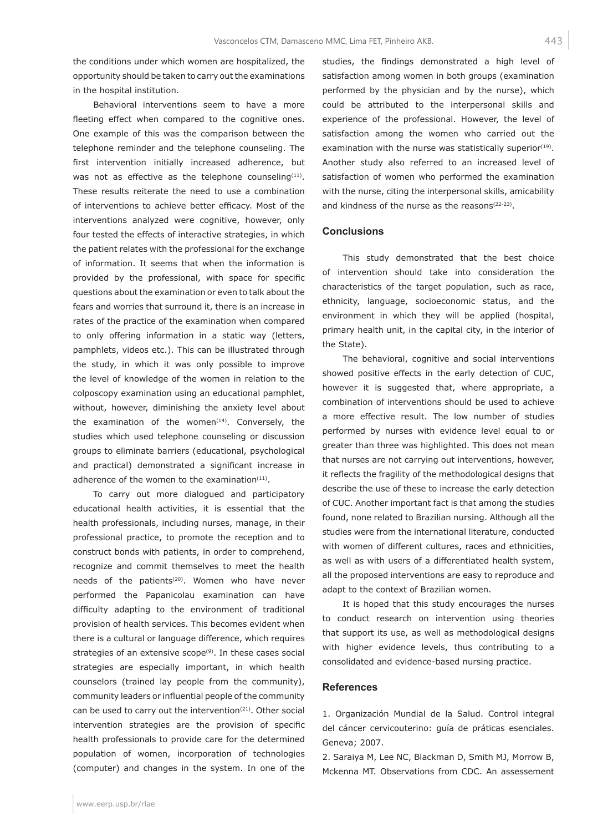the conditions under which women are hospitalized, the opportunity should be taken to carry out the examinations in the hospital institution.

Behavioral interventions seem to have a more fleeting effect when compared to the cognitive ones. One example of this was the comparison between the telephone reminder and the telephone counseling. The first intervention initially increased adherence, but was not as effective as the telephone counseling<sup>(11)</sup>. These results reiterate the need to use a combination of interventions to achieve better efficacy. Most of the interventions analyzed were cognitive, however, only four tested the effects of interactive strategies, in which the patient relates with the professional for the exchange of information. It seems that when the information is provided by the professional, with space for specific questions about the examination or even to talk about the fears and worries that surround it, there is an increase in rates of the practice of the examination when compared to only offering information in a static way (letters, pamphlets, videos etc.). This can be illustrated through the study, in which it was only possible to improve the level of knowledge of the women in relation to the colposcopy examination using an educational pamphlet, without, however, diminishing the anxiety level about the examination of the women $(14)$ . Conversely, the studies which used telephone counseling or discussion groups to eliminate barriers (educational, psychological and practical) demonstrated a significant increase in adherence of the women to the examination $(11)$ .

To carry out more dialogued and participatory educational health activities, it is essential that the health professionals, including nurses, manage, in their professional practice, to promote the reception and to construct bonds with patients, in order to comprehend, recognize and commit themselves to meet the health needs of the patients<sup>(20)</sup>. Women who have never performed the Papanicolau examination can have difficulty adapting to the environment of traditional provision of health services. This becomes evident when there is a cultural or language difference, which requires strategies of an extensive scope<sup>(9)</sup>. In these cases social strategies are especially important, in which health counselors (trained lay people from the community), community leaders or influential people of the community can be used to carry out the intervention<sup>(21)</sup>. Other social intervention strategies are the provision of specific health professionals to provide care for the determined population of women, incorporation of technologies (computer) and changes in the system. In one of the studies, the findings demonstrated a high level of satisfaction among women in both groups (examination performed by the physician and by the nurse), which could be attributed to the interpersonal skills and experience of the professional. However, the level of satisfaction among the women who carried out the examination with the nurse was statistically superior $(19)$ . Another study also referred to an increased level of satisfaction of women who performed the examination with the nurse, citing the interpersonal skills, amicability and kindness of the nurse as the reasons<sup>(22-23)</sup>.

## **Conclusions**

This study demonstrated that the best choice of intervention should take into consideration the characteristics of the target population, such as race, ethnicity, language, socioeconomic status, and the environment in which they will be applied (hospital, primary health unit, in the capital city, in the interior of the State).

The behavioral, cognitive and social interventions showed positive effects in the early detection of CUC, however it is suggested that, where appropriate, a combination of interventions should be used to achieve a more effective result. The low number of studies performed by nurses with evidence level equal to or greater than three was highlighted. This does not mean that nurses are not carrying out interventions, however, it reflects the fragility of the methodological designs that describe the use of these to increase the early detection of CUC. Another important fact is that among the studies found, none related to Brazilian nursing. Although all the studies were from the international literature, conducted with women of different cultures, races and ethnicities, as well as with users of a differentiated health system, all the proposed interventions are easy to reproduce and adapt to the context of Brazilian women.

It is hoped that this study encourages the nurses to conduct research on intervention using theories that support its use, as well as methodological designs with higher evidence levels, thus contributing to a consolidated and evidence-based nursing practice.

#### **References**

1. Organización Mundial de la Salud. Control integral del cáncer cervicouterino: guía de práticas esenciales. Geneva; 2007.

2. Saraiya M, Lee NC, Blackman D, Smith MJ, Morrow B, Mckenna MT. Observations from CDC. An assessement